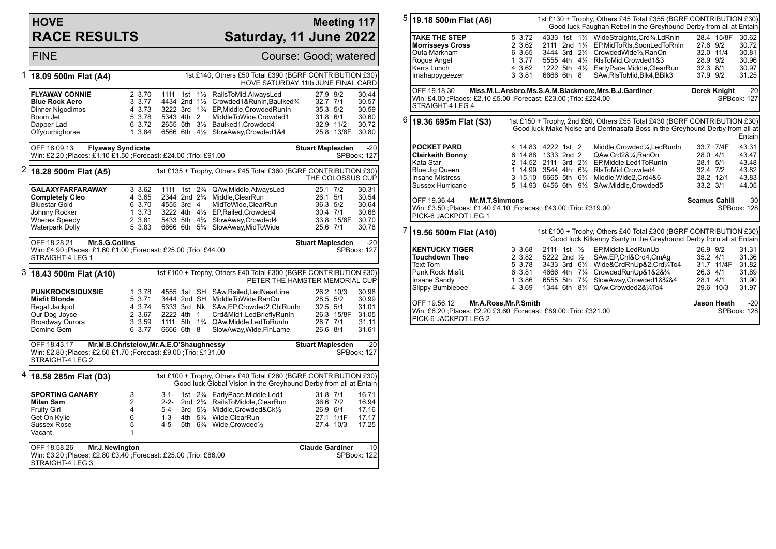## **HOVE RACE RESULTS**

## **Meeting 117 Saturday, 11 June 2022**

FINE Course: Good; watered 1 **18.09 500m Flat (A4)** 1st £140, Others £50 Total £390 (BGRF CONTRIBUTION £30) HOVE SATURDAY 11th JUNE FINAL CARD **FLYAWAY CONNIE** 2 3.70 1111 1st 1½ RailsToMid,AlwaysLed 27.9 9/2 30.44 **Blue Rock Aero** 3 3.77 4434 2nd 1<sup>1</sup>/<sub>2</sub> Crowded1&RunIn,Baulked<sup>3</sup>/<sub>4</sub> 32.7 7/1<br>Dinner Nigodimos 4 3.73 3222 3rd 1<sup>3</sup>/<sub>4</sub> EP.Middle.CrowdedRunIn 35.3 5/2 Dinner Nigodimos 4 3.73 3222 3rd 1¾ EP, Middle, Crowded RunIn 35.3 5/2 30.59<br>Boom Jet 5 3.78 5343 4th 2 MiddleToWide Crowded 1 31.8 6/1 30.60 Boom Jet 5 3.78 5343 4th 2 MiddleToWide,Crowded1 31.8 6/1 30.60 Dapper Lad 6 3.72 2655 5th 31/<sub>2</sub> Baulked1,Crowded4 32.9 11/2 30.72<br>Offyourhighorse 6 1 3.84 6566 6th 41/<sub>2</sub> SlowAway,Crowded1&4 25.8 13/8F 30.80 1 3.84 6566 6th 41/2 SlowAway,Crowded1&4 OFF 18.09.13 **Flyaway Syndicate** Win: £2.20 ;Places: £1.10 £1.50 ;Forecast: £24.00 ;Trio: £91.00 **Stuart Maplesden** -20 SPBook: 127 2 **18.28 500m Flat (A5)** 1st £135 + Trophy, Others £45 Total £360 (BGRF CONTRIBUTION £30) THE COLOSSUS CUP **GALAXYFARFARAWAY** 3 3.62 1111 1st 2<sup>9</sup>/<sub>4</sub> QAw,Middle,AlwaysLed 25.1 7/2 30.31<br>**Completely Cleo** 4 3.65 2344 2nd 2<sup>9</sup>/<sub>4</sub> Middle,ClearRun 26.1 5/1 30.54 **Completely Cleo** 4 3.65 2344 2nd 2<sup>3</sup>/<sub>4</sub> Middle, ClearRun 26.1 5/1 30.54<br>Bluestar Gold 6 3.70 4555 3rd 4 MidToWide ClearRun 36.3 5/2 30.64 Bluestar Gold 6 3.70 4555 3rd 4 MidToWide,ClearRun 36.3 5/2 30.64 Johnny Rocker 1 3.73 3222 4th 4½ EP,Railed,Crowded4 30.4 7/1 30.68 Wheres Speedy 2 3.81 5433 5th 4<sup>3</sup>/<sub>4</sub> SlowAway,Crowded4 33.8 15/8F 30.70<br>Waterpark Dolly 5 3.83 6666 6th 5<sup>3</sup>/<sub>4</sub> SlowAway,MidToWide 25.6 7/1 30.78 5 3.83 6666 6th 5<sup>3</sup>/<sub>4</sub> SlowAway,MidToWide OFF 18.28.21 **Mr.S.G.Collins** Win: £4.90 ;Places: £1.60 £1.00 ;Forecast: £25.00 ;Trio: £44.00 STRAIGHT-4 LEG 1 **Stuart Maplesden** -20 SPBook: 127 3 **18.43 500m Flat (A10)** 1st £100 + Trophy, Others £40 Total £300 (BGRF CONTRIBUTION £30) PETER THE HAMSTER MEMORIAL CUP **PUNKROCKSIOUXSIE** 1 3.78 4555 1st SH SAw,Railed,LedNearLine 26.2 10/3 30.98 **Misfit Blonde** 5 3.71 3444 2nd SH MiddleToWide,RanOn 28.5 5/2 30.99 Regal Jackpot 4 3.74 5333 3rd Nk SAw,EP,Crowded2,ChlRunIn 32.5 5/1 31.01<br>Our Dog Joyce 2 3.67 2222 4th 1 Crd&Mid1.LedBrieflyRunIn 26 Our Dog Joyce 2 3.67 2222 4th 1 Crd&Mid1,LedBrieflyRunIn 26.3 15/8<br>Broadway Ourora 28.7 2 3.59 1111 5th 1<sup>3</sup>/4 QAw,Middle,LedToRunIn 28.7 7/1 Broadway Ourora 3 3.59 1111 5th 1¾ QAw,Middle,LedToRunIn 28.7 7/1 31.11 6 3.77 6666 6th 8 SlowAway, Wide, FinLame 26.6 8/1 31.61 OFF 18.43.17 **Mr.M.B.Christelow,Mr.A.E.O'Shaughnessy** Win: £2.80 ;Places: £2.50 £1.70 ;Forecast: £9.00 ;Trio: £131.00 STRAIGHT-4 LEG 2 **Stuart Maplesden** -20 SPBook: 127 4 **18.58 285m Flat (D3)** 1st £100 + Trophy, Others £40 Total £260 (BGRF CONTRIBUTION £30) Good luck Global Vision in the Greyhound Derby from all at Entain **SPORTING CANARY** 3 3-1- 1st 2<sup>9</sup>/<sub>4</sub> EarlyPace,Middle,Led1 31.8 7/1 16.71<br> **Milan Sam** 2 2-2- 2nd 2<sup>9</sup>/<sub>4</sub> RailsToMiddle.ClearRun 36.6 7/2 16.94 **Milan Sam** 2 2-2- 2nd 2<sup>3</sup>/<sub>4</sub> RailsToMiddle, ClearRun 36.6 7/2 16.94<br>Fruity Girl 36.9 17.16 4 5-4- 3rd 5<sup>1</sup>/<sub>2</sub> Middle, Crowded& Ck<sup>1</sup>/<sub>2</sub> 26.9 6/1 17.16 Fruity Girl 4 5-4- 3rd 5½ Middle,Crowded&Ck½ 26.9 6/1 17.16 Get On Kylie 6 1-3- 4th 5¾ Wide,ClearRun 27.1 1/1F 17.17 4-5- 5th  $6\frac{3}{4}$  Wide, Crowded<sup>1</sup>/<sub>2</sub> Vacant 1

| OFF 18.58.26                                                                          | $-10$                  |
|---------------------------------------------------------------------------------------|------------------------|
| Mr.J.Newington                                                                        | <b>Claude Gardiner</b> |
| IWin: £3.20 :Places: £2.80 £3.40 :Forecast: £25.00 :Trio: £86.00<br>ISTRAIGHT-4 LEG 3 | SPBook: 122            |

| 5 | 1st £130 + Trophy, Others £45 Total £355 (BGRF CONTRIBUTION £30)<br>19.18 500m Flat (A6)<br>Good luck Faughan Rebel in the Greyhound Derby from all at Entain |                                                                   |                                          |  |  |                                                                                                                                                                                                                                                                                     |                                              |                         |                                                    |
|---|---------------------------------------------------------------------------------------------------------------------------------------------------------------|-------------------------------------------------------------------|------------------------------------------|--|--|-------------------------------------------------------------------------------------------------------------------------------------------------------------------------------------------------------------------------------------------------------------------------------------|----------------------------------------------|-------------------------|----------------------------------------------------|
|   | <b>TAKE THE STEP</b><br><b>Morrisseys Cross</b><br>Outa Markham<br>Rogue Angel<br>Kerrs Lunch<br>Imahappygeezer                                               | 5 3.72<br>2 3.62<br>6 3.65<br>1, 3.77<br>4 3.62<br>3 3.81         | 6666 6th 8                               |  |  | 4333 1st 11/4 WideStraights, Crd <sup>3</sup> / <sub>4</sub> , LdRnIn<br>2111 2nd 11/4 EP, MidToRIs, SoonLedToRnIn<br>3444 3rd 21/4 CrowdedWide1/2, RanOn<br>5555 4th 41/4 RIsToMid.Crowded1&3<br>1222 5th 41/ <sub>2</sub> EarlyPace, Middle, Clear Run<br>SAw,RIsToMid,Blk4,BBlk3 | 27.6 9/2<br>28.9 9/2<br>32.3 8/1<br>37.9 9/2 | 28.4 15/8F<br>32.0 11/4 | 30.62<br>30.72<br>30.81<br>30.96<br>30.97<br>31.25 |
|   | OFF 19.18.30<br>Win: £4.00 ; Places: £2.10 £5.00 ; Forecast: £23.00 ; Trio: £224.00<br>STRAIGHT-4 LEG 4                                                       |                                                                   |                                          |  |  | Miss.M.L.Ansbro,Ms.S.A.M.Blackmore,Mrs.B.J.Gardiner                                                                                                                                                                                                                                 |                                              | Derek Knight            | $-20$<br><b>SPBook: 127</b>                        |
| 6 | 19.36 695m Flat (S3)                                                                                                                                          |                                                                   |                                          |  |  | 1st £150 + Trophy, 2nd £60, Others £55 Total £430 (BGRF CONTRIBUTION £30)<br>Good luck Make Noise and Derrinasafa Boss in the Greyhound Derby from all at                                                                                                                           |                                              |                         | <b>Entain</b>                                      |
|   | <b>POCKET PARD</b><br><b>Clairkeith Bonny</b><br>Kata Star<br>Blue Jig Queen<br><b>Insane Mistress</b><br>Sussex Hurricane                                    | 4 14.83 4222 1st 2<br>6 14.88<br>2 14.52<br>5 14.93 6456 6th 91/2 | 1333 2nd 2                               |  |  | Middle, Crowded <sup>1</sup> / <sub>4</sub> , Led Run In<br>QAw,Crd2&1/4,RanOn<br>2111 3rd 21/4 EP, Middle, Led 1 To Run In<br>1 14.99 3544 4th 61/2 RIsToMid.Crowded4<br>3 15.10 5665 5th 6 <sup>3</sup> / <sub>4</sub> Middle, Wide 2, Crd 4&6<br>SAw, Middle, Crowded5           | 28.0 4/1<br>28.1 5/1<br>32.4 7/2<br>33.2 3/1 | 33.7 7/4F<br>28.2 12/1  | 43.31<br>43.47<br>43.48<br>43.82<br>43.83<br>44.05 |
|   | OFF 19.36.44<br><b>Mr.M.T.Simmons</b><br><b>Seamus Cahill</b><br>Win: £3.50 ; Places: £1.40 £4.10 ; Forecast: £43.00 ; Trio: £319.00<br>PICK-6 JACKPOT LEG 1  |                                                                   |                                          |  |  |                                                                                                                                                                                                                                                                                     |                                              |                         | $-30$<br>SPBook: 128                               |
|   | 19.56 500m Flat (A10)                                                                                                                                         |                                                                   |                                          |  |  | 1st £100 + Trophy, Others £40 Total £300 (BGRF CONTRIBUTION £30)<br>Good luck Kilkenny Santy in the Greyhound Derby from all at Entain                                                                                                                                              |                                              |                         |                                                    |
|   | <b>KENTUCKY TIGER</b><br><b>Touchdown Theo</b><br>Text Tom<br><b>Punk Rock Misfit</b><br>Insane Sandy<br><b>Slippy Bumblebee</b>                              | 3 3.68<br>2 3.82<br>5 3.78<br>6 3.81<br>1 3.86<br>4 3.69          | 2111 1st 1/ <sub>2</sub><br>5222 2nd 1/2 |  |  | EP, Middle, LedRunUp<br>SAw, EP, Chl&Crd4, CmAq<br>3433 3rd 61/4 Wide&CrdRnUp&2,Crd3/4To4<br>4666 4th 71/4 CrowdedRunUp&1&2&3/4<br>6555 5th 71/ <sub>2</sub> SlowAway, Crowded 1& 3/4& 4<br>1344 6th 81/4 QAw, Crowded 2& 3/4To4                                                    | 26.9 9/2<br>35.2 4/1<br>26.3 4/1<br>28.1 4/1 | 31.7 11/4F<br>29.6 10/3 | 31.31<br>31.36<br>31.82<br>31.89<br>31.90<br>31.97 |
|   | OFF 19.56.12<br>Mr.A.Ross, Mr.P.Smith<br>Win: £6.20 ;Places: £2.20 £3.60 ;Forecast: £89.00 ;Trio: £321.00<br>PICK-6 JACKPOT LEG 2                             |                                                                   |                                          |  |  |                                                                                                                                                                                                                                                                                     |                                              | Jason Heath             | $-20$<br>SPBook: 128                               |